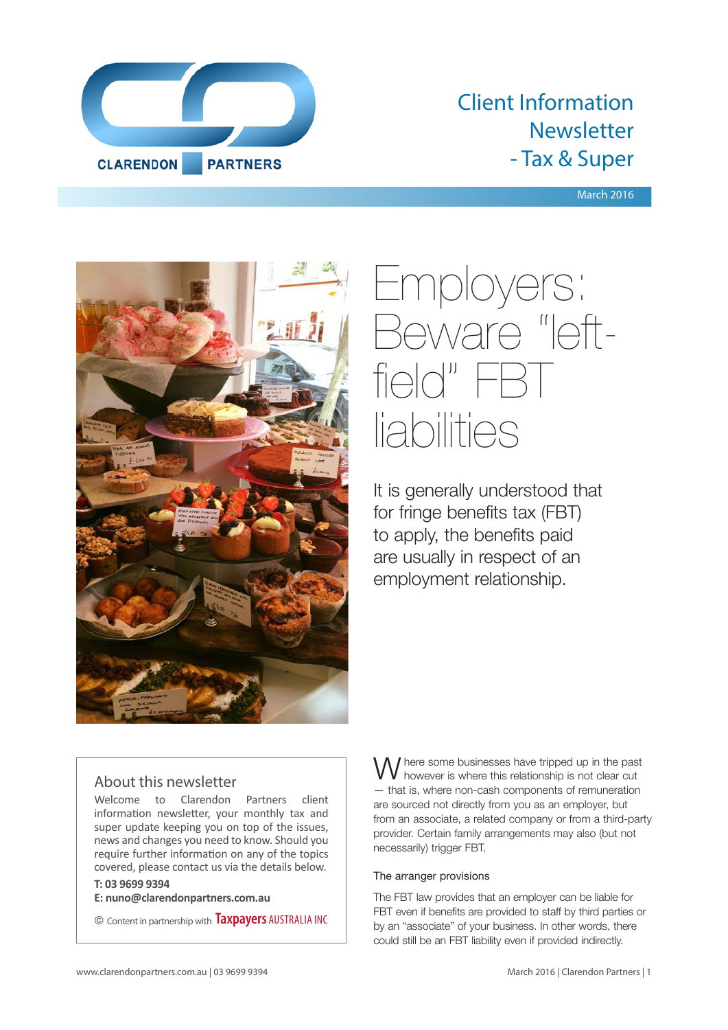

# Client Information Newsletter - Tax & Super

March 2016



# Employers: Beware "leftfield" FBT liabilities

It is generally understood that for fringe benefits tax (FBT) to apply, the benefits paid are usually in respect of an employment relationship.

## About this newsletter

Welcome to Clarendon Partners client information newsletter, your monthly tax and super update keeping you on top of the issues, news and changes you need to know. Should you require further information on any of the topics covered, please contact us via the details below.

**T: 03 9699 9394**

**E: nuno@clarendonpartners.com.au**

© Content in partnership with **Taxpayers** AUSTRALIA INC

W here some businesses have tripped up in the past however is where this relationship is not clear cut — that is, where non-cash components of remuneration are sourced not directly from you as an employer, but from an associate, a related company or from a third-party provider. Certain family arrangements may also (but not necessarily) trigger FBT.

#### The arranger provisions

The FBT law provides that an employer can be liable for FBT even if benefits are provided to staff by third parties or by an "associate" of your business. In other words, there could still be an FBT liability even if provided indirectly.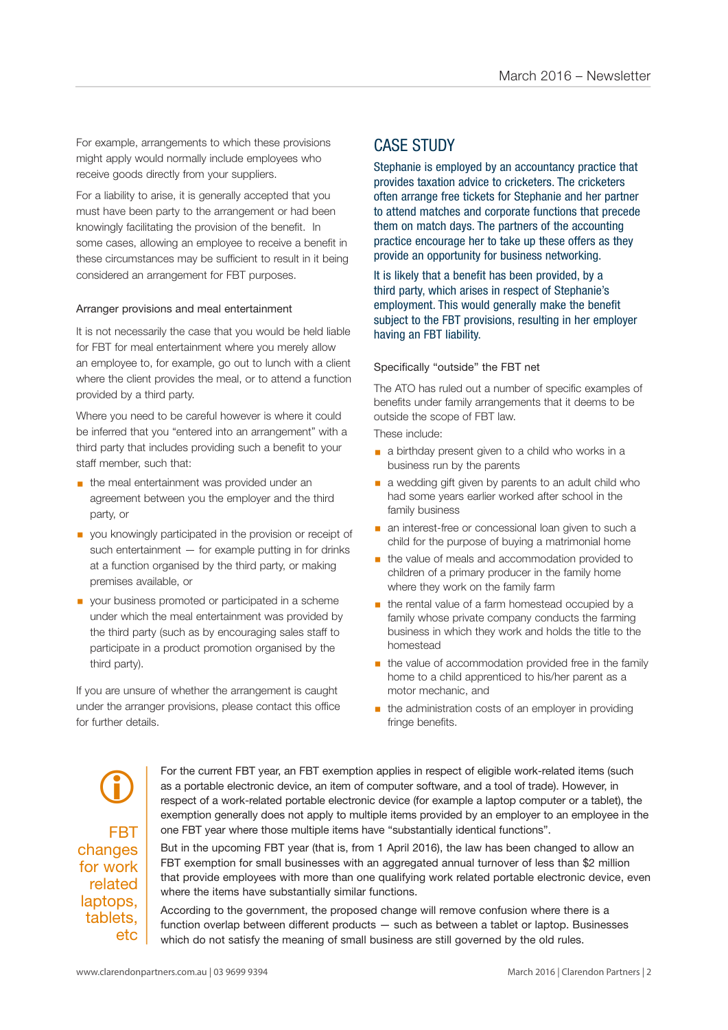For example, arrangements to which these provisions might apply would normally include employees who receive goods directly from your suppliers.

For a liability to arise, it is generally accepted that you must have been party to the arrangement or had been knowingly facilitating the provision of the benefit. In some cases, allowing an employee to receive a benefit in these circumstances may be sufficient to result in it being considered an arrangement for FBT purposes.

#### Arranger provisions and meal entertainment

It is not necessarily the case that you would be held liable for FBT for meal entertainment where you merely allow an employee to, for example, go out to lunch with a client where the client provides the meal, or to attend a function provided by a third party.

Where you need to be careful however is where it could be inferred that you "entered into an arrangement" with a third party that includes providing such a benefit to your staff member, such that:

- **the meal entertainment was provided under an** agreement between you the employer and the third party, or
- you knowingly participated in the provision or receipt of such entertainment — for example putting in for drinks at a function organised by the third party, or making premises available, or
- your business promoted or participated in a scheme under which the meal entertainment was provided by the third party (such as by encouraging sales staff to participate in a product promotion organised by the third party).

If you are unsure of whether the arrangement is caught under the arranger provisions, please contact this office for further details.

## CASE STUDY

Stephanie is employed by an accountancy practice that provides taxation advice to cricketers. The cricketers often arrange free tickets for Stephanie and her partner to attend matches and corporate functions that precede them on match days. The partners of the accounting practice encourage her to take up these offers as they provide an opportunity for business networking.

It is likely that a benefit has been provided, by a third party, which arises in respect of Stephanie's employment. This would generally make the benefit subject to the FBT provisions, resulting in her employer having an FBT liability.

#### Specifically "outside" the FBT net

The ATO has ruled out a number of specific examples of benefits under family arrangements that it deems to be outside the scope of FBT law.

These include:

- a birthday present given to a child who works in a business run by the parents
- a wedding gift given by parents to an adult child who had some years earlier worked after school in the family business
- **a** an interest-free or concessional loan given to such a child for the purpose of buying a matrimonial home
- the value of meals and accommodation provided to children of a primary producer in the family home where they work on the family farm
- the rental value of a farm homestead occupied by a family whose private company conducts the farming business in which they work and holds the title to the homestead
- **•** the value of accommodation provided free in the family home to a child apprenticed to his/her parent as a motor mechanic, and
- the administration costs of an employer in providing fringe benefits.

FBT changes for work related laptops, tablets, etc  $\bigcirc$ 

For the current FBT year, an FBT exemption applies in respect of eligible work-related items (such as a portable electronic device, an item of computer software, and a tool of trade). However, in respect of a work-related portable electronic device (for example a laptop computer or a tablet), the exemption generally does not apply to multiple items provided by an employer to an employee in the one FBT year where those multiple items have "substantially identical functions".

But in the upcoming FBT year (that is, from 1 April 2016), the law has been changed to allow an FBT exemption for small businesses with an aggregated annual turnover of less than \$2 million that provide employees with more than one qualifying work related portable electronic device, even where the items have substantially similar functions.

According to the government, the proposed change will remove confusion where there is a function overlap between different products — such as between a tablet or laptop. Businesses which do not satisfy the meaning of small business are still governed by the old rules.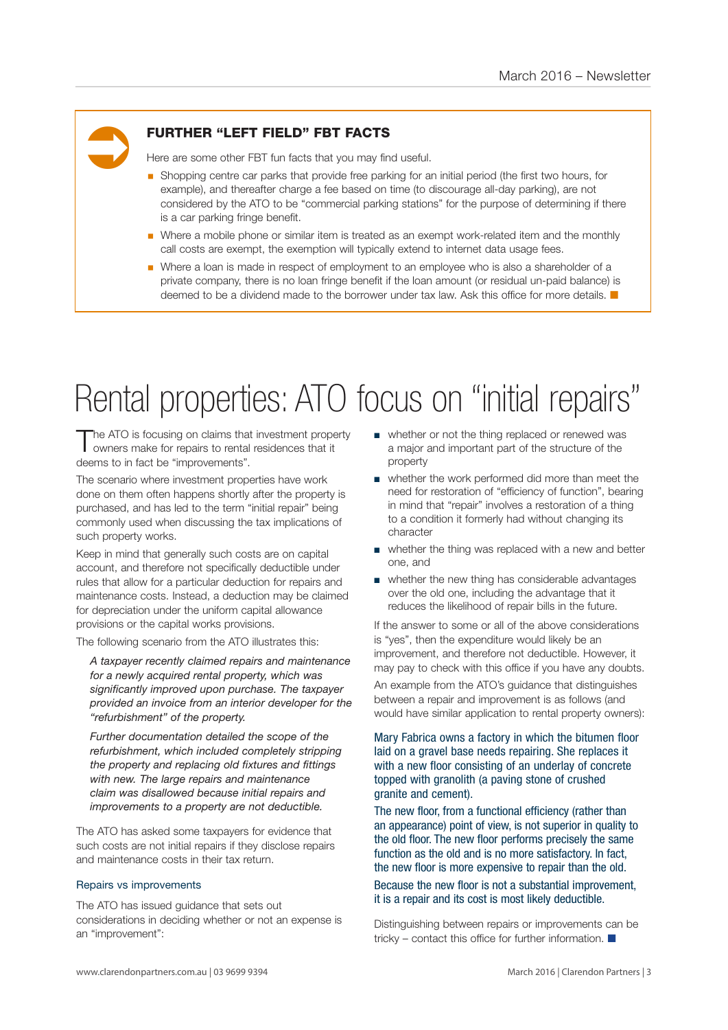# Ü

## FURTHER "LEFT FIELD" FBT FACTS

Here are some other FBT fun facts that you may find useful.

- § Shopping centre car parks that provide free parking for an initial period (the first two hours, for example), and thereafter charge a fee based on time (to discourage all-day parking), are not considered by the ATO to be "commercial parking stations" for the purpose of determining if there is a car parking fringe benefit.
- Where a mobile phone or similar item is treated as an exempt work-related item and the monthly call costs are exempt, the exemption will typically extend to internet data usage fees.
- Where a loan is made in respect of employment to an employee who is also a shareholder of a private company, there is no loan fringe benefit if the loan amount (or residual un-paid balance) is deemed to be a dividend made to the borrower under tax law. Ask this office for more details.  $\blacksquare$

# Rental properties: ATO focus on "initial repairs"

The ATO is focusing on claims that investment property owners make for repairs to rental residences that it deems to in fact be "improvements".

The scenario where investment properties have work done on them often happens shortly after the property is purchased, and has led to the term "initial repair" being commonly used when discussing the tax implications of such property works.

Keep in mind that generally such costs are on capital account, and therefore not specifically deductible under rules that allow for a particular deduction for repairs and maintenance costs. Instead, a deduction may be claimed for depreciation under the uniform capital allowance provisions or the capital works provisions.

The following scenario from the ATO illustrates this:

*A taxpayer recently claimed repairs and maintenance for a newly acquired rental property, which was significantly improved upon purchase. The taxpayer provided an invoice from an interior developer for the "refurbishment" of the property.* 

*Further documentation detailed the scope of the refurbishment, which included completely stripping the property and replacing old fixtures and fittings with new. The large repairs and maintenance claim was disallowed because initial repairs and improvements to a property are not deductible.*

The ATO has asked some taxpayers for evidence that such costs are not initial repairs if they disclose repairs and maintenance costs in their tax return.

#### Repairs vs improvements

The ATO has issued guidance that sets out considerations in deciding whether or not an expense is an "improvement":

- whether or not the thing replaced or renewed was a major and important part of the structure of the property
- whether the work performed did more than meet the need for restoration of "efficiency of function", bearing in mind that "repair" involves a restoration of a thing to a condition it formerly had without changing its character
- whether the thing was replaced with a new and better one, and
- whether the new thing has considerable advantages over the old one, including the advantage that it reduces the likelihood of repair bills in the future.

If the answer to some or all of the above considerations is "yes", then the expenditure would likely be an improvement, and therefore not deductible. However, it may pay to check with this office if you have any doubts.

An example from the ATO's guidance that distinguishes between a repair and improvement is as follows (and would have similar application to rental property owners):

Mary Fabrica owns a factory in which the bitumen floor laid on a gravel base needs repairing. She replaces it with a new floor consisting of an underlay of concrete topped with granolith (a paving stone of crushed granite and cement).

The new floor, from a functional efficiency (rather than an appearance) point of view, is not superior in quality to the old floor. The new floor performs precisely the same function as the old and is no more satisfactory. In fact, the new floor is more expensive to repair than the old.

Because the new floor is not a substantial improvement, it is a repair and its cost is most likely deductible.

Distinguishing between repairs or improvements can be tricky – contact this office for further information.  $\blacksquare$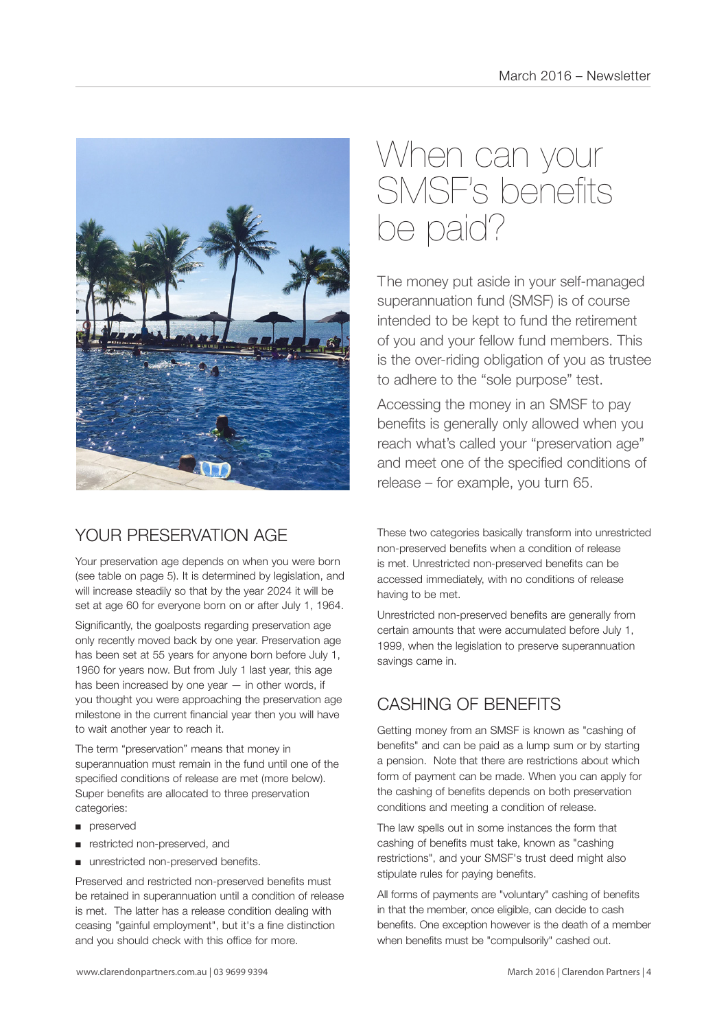

# YOUR PRESERVATION AGE

Your preservation age depends on when you were born (see table on page 5). It is determined by legislation, and will increase steadily so that by the year 2024 it will be set at age 60 for everyone born on or after July 1, 1964.

Significantly, the goalposts regarding preservation age only recently moved back by one year. Preservation age has been set at 55 years for anyone born before July 1, 1960 for years now. But from July 1 last year, this age has been increased by one year — in other words, if you thought you were approaching the preservation age milestone in the current financial year then you will have to wait another year to reach it.

The term "preservation" means that money in superannuation must remain in the fund until one of the specified conditions of release are met (more below). Super benefits are allocated to three preservation categories:

- preserved
- restricted non-preserved, and
- unrestricted non-preserved benefits.

Preserved and restricted non-preserved benefits must be retained in superannuation until a condition of release is met. The latter has a release condition dealing with ceasing "gainful employment", but it's a fine distinction and you should check with this office for more.

# When can your SMSF's benefits be paid?

The money put aside in your self-managed superannuation fund (SMSF) is of course intended to be kept to fund the retirement of you and your fellow fund members. This is the over-riding obligation of you as trustee to adhere to the "sole purpose" test.

Accessing the money in an SMSF to pay benefits is generally only allowed when you reach what's called your "preservation age" and meet one of the specified conditions of release – for example, you turn 65.

These two categories basically transform into unrestricted non-preserved benefits when a condition of release is met. Unrestricted non-preserved benefits can be accessed immediately, with no conditions of release having to be met.

Unrestricted non-preserved benefits are generally from certain amounts that were accumulated before July 1, 1999, when the legislation to preserve superannuation savings came in.

# CASHING OF BENEFITS

Getting money from an SMSF is known as "cashing of benefits" and can be paid as a lump sum or by starting a pension. Note that there are restrictions about which form of payment can be made. When you can apply for the cashing of benefits depends on both preservation conditions and meeting a condition of release.

The law spells out in some instances the form that cashing of benefits must take, known as "cashing restrictions", and your SMSF's trust deed might also stipulate rules for paying benefits.

All forms of payments are "voluntary" cashing of benefits in that the member, once eligible, can decide to cash benefits. One exception however is the death of a member when benefits must be "compulsorily" cashed out.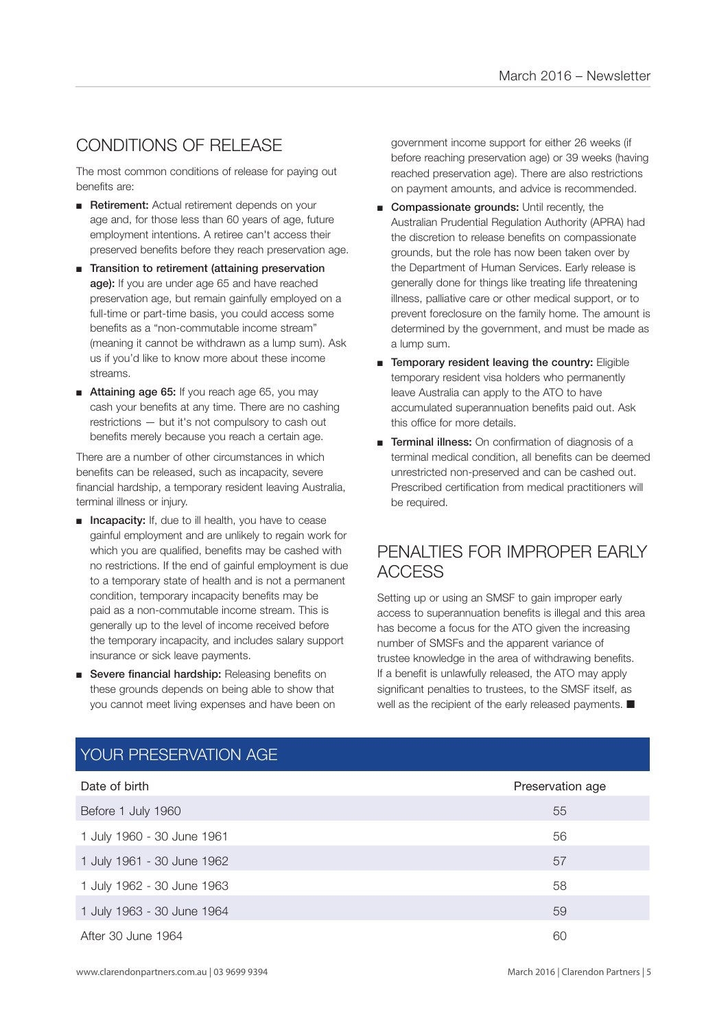# CONDITIONS OF RELEASE

The most common conditions of release for paying out benefits are:

- Retirement: Actual retirement depends on your age and, for those less than 60 years of age, future employment intentions. A retiree can't access their preserved benefits before they reach preservation age.
- Transition to retirement (attaining preservation age): If you are under age 65 and have reached preservation age, but remain gainfully employed on a full-time or part-time basis, you could access some benefits as a "non-commutable income stream" (meaning it cannot be withdrawn as a lump sum). Ask us if you'd like to know more about these income streams.
- Attaining age 65: If you reach age 65, you may cash your benefits at any time. There are no cashing restrictions — but it's not compulsory to cash out benefits merely because you reach a certain age.

There are a number of other circumstances in which benefits can be released, such as incapacity, severe financial hardship, a temporary resident leaving Australia, terminal illness or injury.

- Incapacity: If, due to ill health, you have to cease gainful employment and are unlikely to regain work for which you are qualified, benefits may be cashed with no restrictions. If the end of gainful employment is due to a temporary state of health and is not a permanent condition, temporary incapacity benefits may be paid as a non-commutable income stream. This is generally up to the level of income received before the temporary incapacity, and includes salary support insurance or sick leave payments.
- Severe financial hardship: Releasing benefits on these grounds depends on being able to show that you cannot meet living expenses and have been on

government income support for either 26 weeks (if before reaching preservation age) or 39 weeks (having reached preservation age). There are also restrictions on payment amounts, and advice is recommended.

- Compassionate grounds: Until recently, the Australian Prudential Regulation Authority (APRA) had the discretion to release benefits on compassionate grounds, but the role has now been taken over by the Department of Human Services. Early release is generally done for things like treating life threatening illness, palliative care or other medical support, or to prevent foreclosure on the family home. The amount is determined by the government, and must be made as a lump sum.
- Temporary resident leaving the country: Eligible temporary resident visa holders who permanently leave Australia can apply to the ATO to have accumulated superannuation benefits paid out. Ask this office for more details.
- Terminal illness: On confirmation of diagnosis of a terminal medical condition, all benefits can be deemed unrestricted non-preserved and can be cashed out. Prescribed certification from medical practitioners will be required.

# PENALTIES FOR IMPROPER EARLY ACCESS

Setting up or using an SMSF to gain improper early access to superannuation benefits is illegal and this area has become a focus for the ATO given the increasing number of SMSFs and the apparent variance of trustee knowledge in the area of withdrawing benefits. If a benefit is unlawfully released, the ATO may apply significant penalties to trustees, to the SMSF itself, as well as the recipient of the early released payments.  $\blacksquare$ 

| Date of birth              | Preservation age |
|----------------------------|------------------|
| Before 1 July 1960         | 55               |
| 1 July 1960 - 30 June 1961 | 56               |
| 1 July 1961 - 30 June 1962 | 57               |
| 1 July 1962 - 30 June 1963 | 58               |
| 1 July 1963 - 30 June 1964 | 59               |
| After 30 June 1964         | 60               |

# YOUR PRESERVATION AGE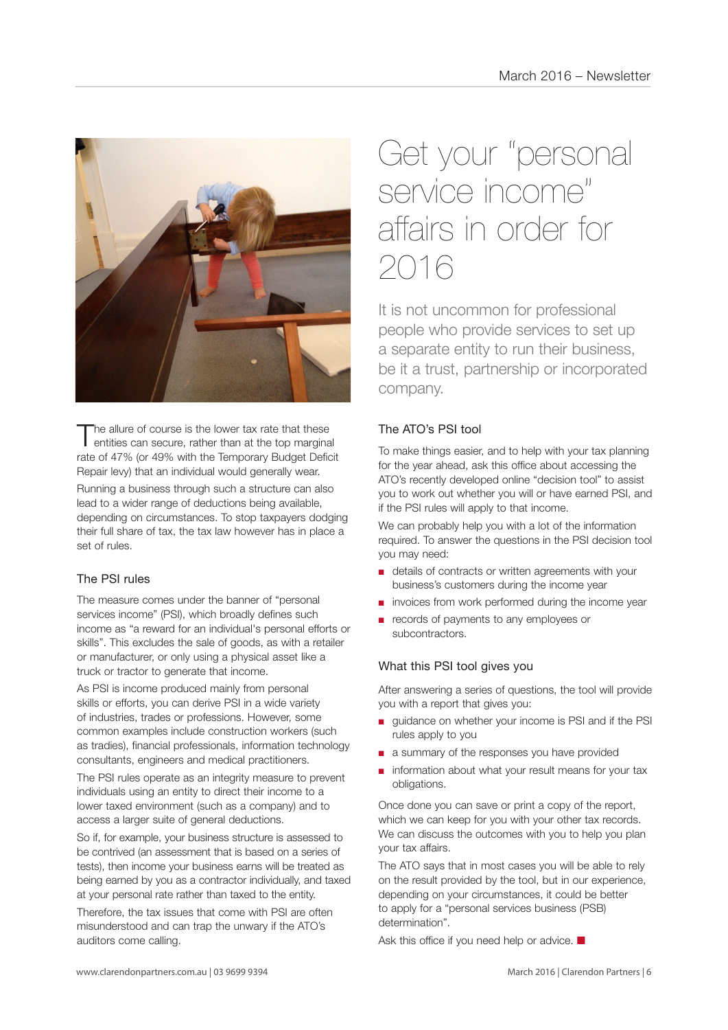

The allure of course is the lower tax rate that these<br>entities can secure, rather than at the top marginal rate of 47% (or 49% with the Temporary Budget Deficit Repair levy) that an individual would generally wear.

Running a business through such a structure can also lead to a wider range of deductions being available, depending on circumstances. To stop taxpayers dodging their full share of tax, the tax law however has in place a set of rules.

## The PSI rules

The measure comes under the banner of "personal services income" (PSI), which broadly defines such income as "a reward for an individual's personal efforts or skills". This excludes the sale of goods, as with a retailer or manufacturer, or only using a physical asset like a truck or tractor to generate that income.

As PSI is income produced mainly from personal skills or efforts, you can derive PSI in a wide variety of industries, trades or professions. However, some common examples include construction workers (such as tradies), financial professionals, information technology consultants, engineers and medical practitioners.

The PSI rules operate as an integrity measure to prevent individuals using an entity to direct their income to a lower taxed environment (such as a company) and to access a larger suite of general deductions.

So if, for example, your business structure is assessed to be contrived (an assessment that is based on a series of tests), then income your business earns will be treated as being earned by you as a contractor individually, and taxed at your personal rate rather than taxed to the entity.

Therefore, the tax issues that come with PSI are often misunderstood and can trap the unwary if the ATO's auditors come calling.

# Get your "personal service income" affairs in order for 2016

It is not uncommon for professional people who provide services to set up a separate entity to run their business, be it a trust, partnership or incorporated company.

## The ATO's PSI tool

To make things easier, and to help with your tax planning for the year ahead, ask this office about accessing the ATO's recently developed online "decision tool" to assist you to work out whether you will or have earned PSI, and if the PSI rules will apply to that income.

We can probably help you with a lot of the information required. To answer the questions in the PSI decision tool you may need:

- details of contracts or written agreements with your business's customers during the income year
- invoices from work performed during the income year
- records of payments to any employees or subcontractors.

#### What this PSI tool gives you

After answering a series of questions, the tool will provide you with a report that gives you:

- quidance on whether your income is PSI and if the PSI rules apply to you
- a summary of the responses you have provided
- information about what your result means for your tax obligations.

Once done you can save or print a copy of the report, which we can keep for you with your other tax records. We can discuss the outcomes with you to help you plan your tax affairs.

The ATO says that in most cases you will be able to rely on the result provided by the tool, but in our experience, depending on your circumstances, it could be better to apply for a "personal services business (PSB) determination".

Ask this office if you need help or advice.  $\blacksquare$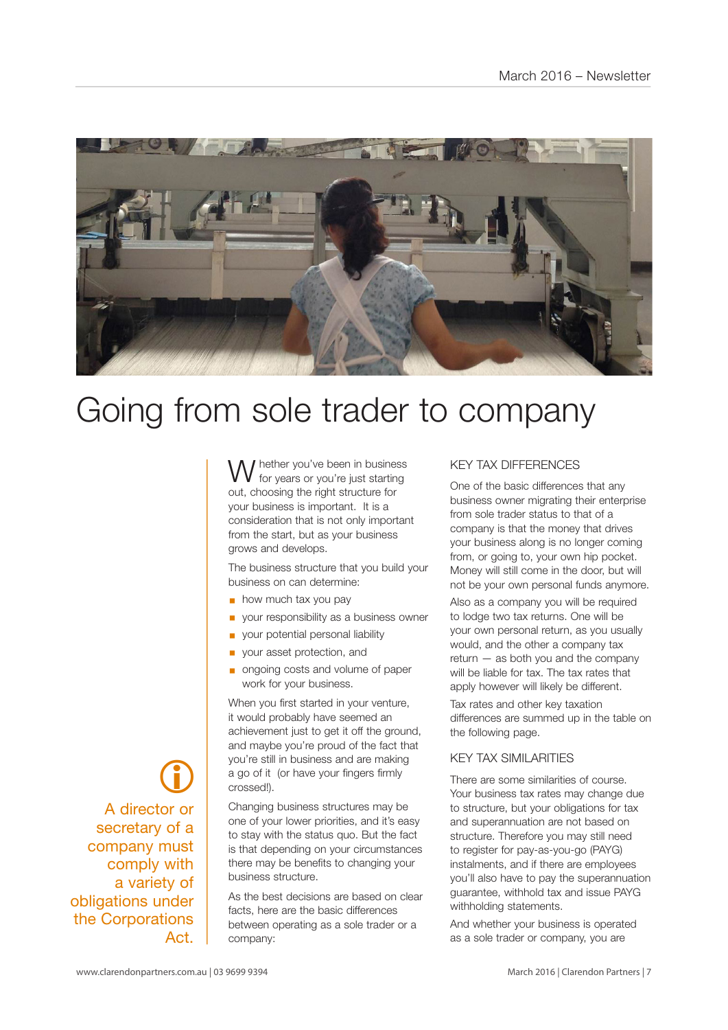

# Going from sole trader to company

I hether you've been in business for years or you're just starting out, choosing the right structure for your business is important. It is a consideration that is not only important from the start, but as your business grows and develops.

The business structure that you build your business on can determine:

- $\blacksquare$  how much tax you pay
- § your responsibility as a business owner
- § your potential personal liability
- § your asset protection, and
- § ongoing costs and volume of paper work for your business.

When you first started in your venture, it would probably have seemed an achievement just to get it off the ground. and maybe you're proud of the fact that you're still in business and are making a go of it (or have your fingers firmly crossed!).

Changing business structures may be one of your lower priorities, and it's easy to stay with the status quo. But the fact is that depending on your circumstances there may be benefits to changing your business structure.

As the best decisions are based on clear facts, here are the basic differences between operating as a sole trader or a company:

#### KEY TAX DIFFERENCES

One of the basic differences that any business owner migrating their enterprise from sole trader status to that of a company is that the money that drives your business along is no longer coming from, or going to, your own hip pocket. Money will still come in the door, but will not be your own personal funds anymore.

Also as a company you will be required to lodge two tax returns. One will be your own personal return, as you usually would, and the other a company tax return — as both you and the company will be liable for tax. The tax rates that apply however will likely be different.

Tax rates and other key taxation differences are summed up in the table on the following page.

#### KEY TAX SIMILARITIES

There are some similarities of course. Your business tax rates may change due to structure, but your obligations for tax and superannuation are not based on structure. Therefore you may still need to register for pay-as-you-go (PAYG) instalments, and if there are employees you'll also have to pay the superannuation guarantee, withhold tax and issue PAYG withholding statements.

And whether your business is operated as a sole trader or company, you are

 $\bigcirc$ A director or secretary of a company must comply with a variety of obligations under the Corporations Act.